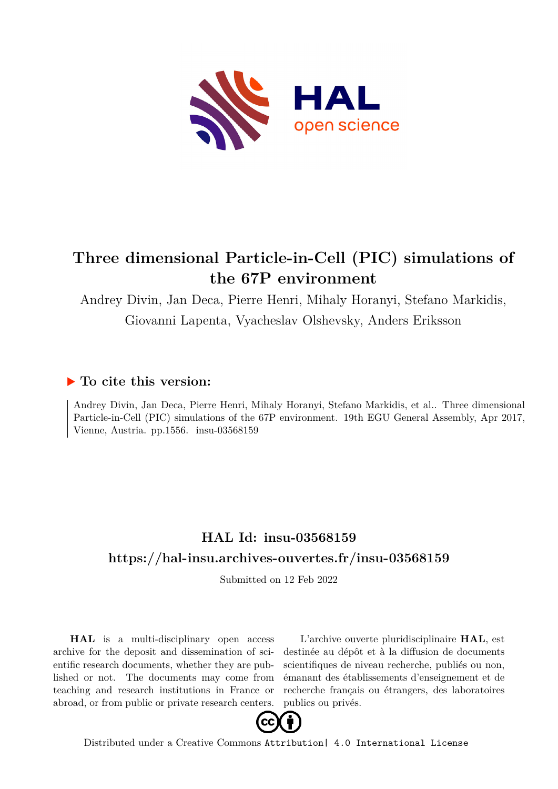

## **Three dimensional Particle-in-Cell (PIC) simulations of the 67P environment**

Andrey Divin, Jan Deca, Pierre Henri, Mihaly Horanyi, Stefano Markidis,

Giovanni Lapenta, Vyacheslav Olshevsky, Anders Eriksson

## **To cite this version:**

Andrey Divin, Jan Deca, Pierre Henri, Mihaly Horanyi, Stefano Markidis, et al.. Three dimensional Particle-in-Cell (PIC) simulations of the 67P environment. 19th EGU General Assembly, Apr 2017, Vienne, Austria. pp.1556. insu-03568159

## **HAL Id: insu-03568159 <https://hal-insu.archives-ouvertes.fr/insu-03568159>**

Submitted on 12 Feb 2022

**HAL** is a multi-disciplinary open access archive for the deposit and dissemination of scientific research documents, whether they are published or not. The documents may come from teaching and research institutions in France or abroad, or from public or private research centers.

L'archive ouverte pluridisciplinaire **HAL**, est destinée au dépôt et à la diffusion de documents scientifiques de niveau recherche, publiés ou non, émanant des établissements d'enseignement et de recherche français ou étrangers, des laboratoires publics ou privés.



Distributed under a Creative Commons [Attribution| 4.0 International License](http://creativecommons.org/licenses/by/4.0/)